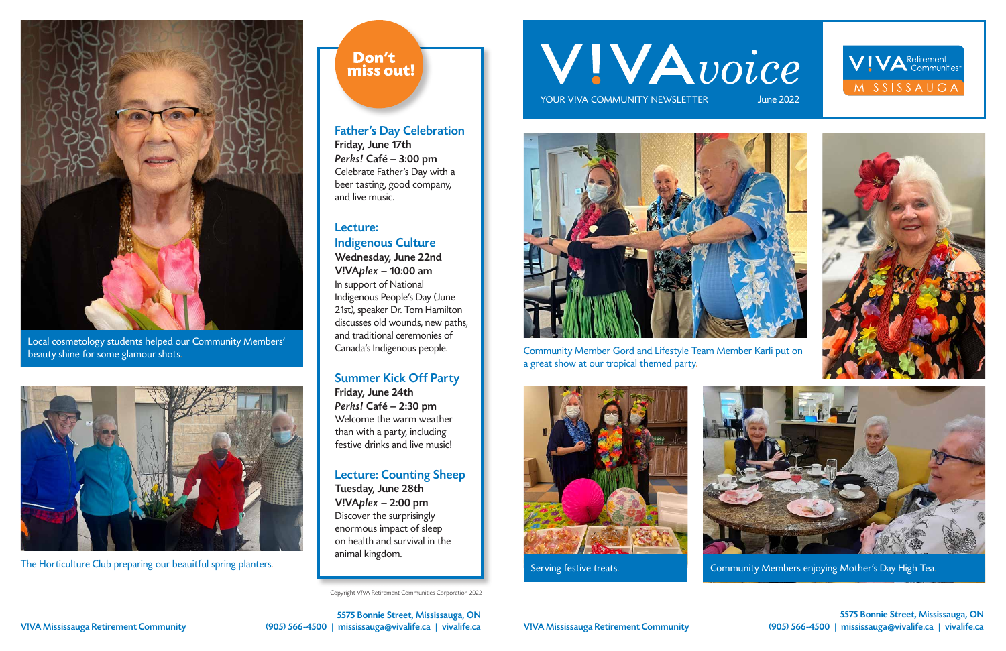5575 Bonnie Street, Mississauga, ON V!VA Mississauga Retirement Community (905) 566-4500 | mississauga@vivalife.ca | vivalife.ca

5575 Bonnie Street, Mississauga, ON V!VA Mississauga Retirement Community (905) 566-4500 | mississauga@vivalife.ca | vivalife.ca

Copyright V!VA Retirement Communities Corporation 2022

# WIVAvoice

YOUR VIVA COMMUNITY NEWSLETTER



Community Member Gord and Lifestyle Team Member Karli put on a great show at our tropical themed party.







Local cosmetology students helped our Community Members' beauty shine for some glamour shots.



The Horticulture Club preparing our beauitful spring planters.

## Don't miss out!









Serving festive treats. Community Members enjoying Mother's Day High Tea.

#### Father's Day Celebration

Friday, June 17th Perks! Café – 3:00 pm Celebrate Father's Day with a beer tasting, good company, and live music.

#### Lecture: Indigenous Culture

Wednesday, June 22nd V!VAplex – 10:00 am In support of National Indigenous People's Day (June 21st), speaker Dr. Tom Hamilton discusses old wounds, new paths, and traditional ceremonies of Canada's Indigenous people.

#### Summer Kick Off Party

Friday, June 24th Perks! Café – 2:30 pm Welcome the warm weather than with a party, including festive drinks and live music!

### Lecture: Counting Sheep

Tuesday, June 28th V!VAplex – 2:00 pm Discover the surprisingly enormous impact of sleep on health and survival in the animal kingdom.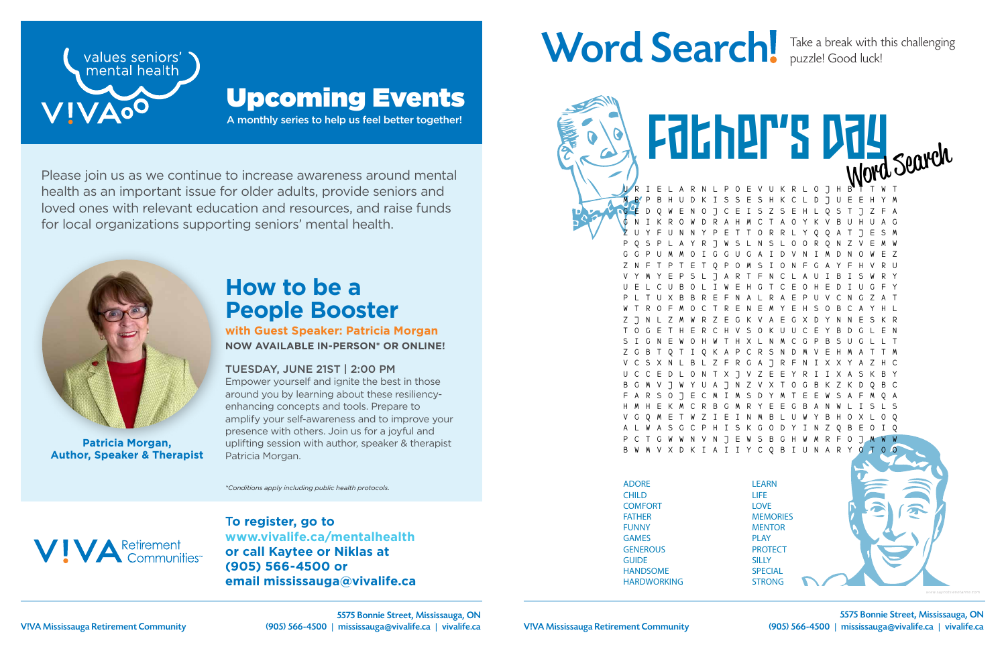T**o register, go to www.vivalife.ca/mentalhealth or call Kaytee or Niklas at (905) 566-4500 or email mississauga@vivalife.ca**

## Word Search! Take a break with this challenging



Please join us as we continue to increase awareness around mental health as an important issue for older adults, provide seniors and loved ones with relevant education and resources, and raise funds for local organizations supporting seniors' mental health.

A monthly series to help us feel better together!



## Upcoming Events

*\*Conditions apply including public health protocols.*



## **How to be a People Booster**

**with Guest Speaker: Patricia Morgan NOW AVAILABLE IN-PERSON\* OR ONLINE!**

#### TUESDAY, JUNE 21ST | 2:00 PM

Empower yourself and ignite the best in those around you by learning about these resiliencyenhancing concepts and tools. Prepare to amplify your self-awareness and to improve your presence with others. Join us for a joyful and uplifting session with author, speaker & therapist Patricia Morgan.



**Patricia Morgan, Author, Speaker & Therapist**

puzzle! Good luck!

E V U K R L O J H M B P B H U D K I S S E S H K C L D J U E E H Y M G E D Q W E N O J C E I S Z S E H L Q S T J Z F A G N I K R O W D R A H M C T A O Y K V B U H U A G Z U Y F U N N Y P E T T O R R L Y Q Q A T J E S M P Q S P L A Y R J W S L N S L O O R Q N Z V E M W G G P U M M O I G G U G A I D V N I M D N O W E Z Z N F T P T E T Q P O M S I O N F G A Y F H V R U V Y M Y E P S L J A R T F N C L A U I B I S W R Y U E L C U B O L I W E H G T C E O H E D I U G F Y P L T U X B B R E F N A L R A E P U V C N G Z A T W T R O F M O C T R E N E M Y E H S O B C A Y H L Z J N L Z M W R Z E G K V A E G X D Y N N E S K R T O G E T H E R C H V S O K U U C E Y B D G L E N S I G N E W O H W T H X L N M C G P B S U G L L T A P C R S N D V C S X N L B L Z F R G A J R F N I X X Y A Z H C U C C E D L O N T X J V Z E E Y R I I X A S K B Y 8 7 N 7 V X T F A R S O J E C M I M S D Y M T E E W S A F M Q A H M H E K M C R B G M R Y E E G B A N W L I S L S V G Q M E T W Z I E I N M B L U W Y B H O X L O Q S K G O D Y I N Z N V N J E W S B G H W M R F V X D K I A I I Y C Q B I U N A R Father's Day

ADORE CHILD **COMFORT** FATHER FUNNY GAMES **GENEROUS GUIDE** HANDSOME HARDWORKING

Husband (1989)

LEARN LIFE LOVE **MEMORIES MENTOR** PLAY **PROTECT SILLY SPECIAL** STRONG

SWEET

V!VA Mississauga Retirement Community (905) 566-4500 | mississauga@vivalife.ca | vivalife.ca 5575 Bonnie Street, Mississauga, ON

*www.saynotsweetanne.com*

5575 Bonnie Street, Mississauga, ON V!VA Mississauga Retirement Community (905) 566-4500 | mississauga@vivalife.ca | vivalife.ca

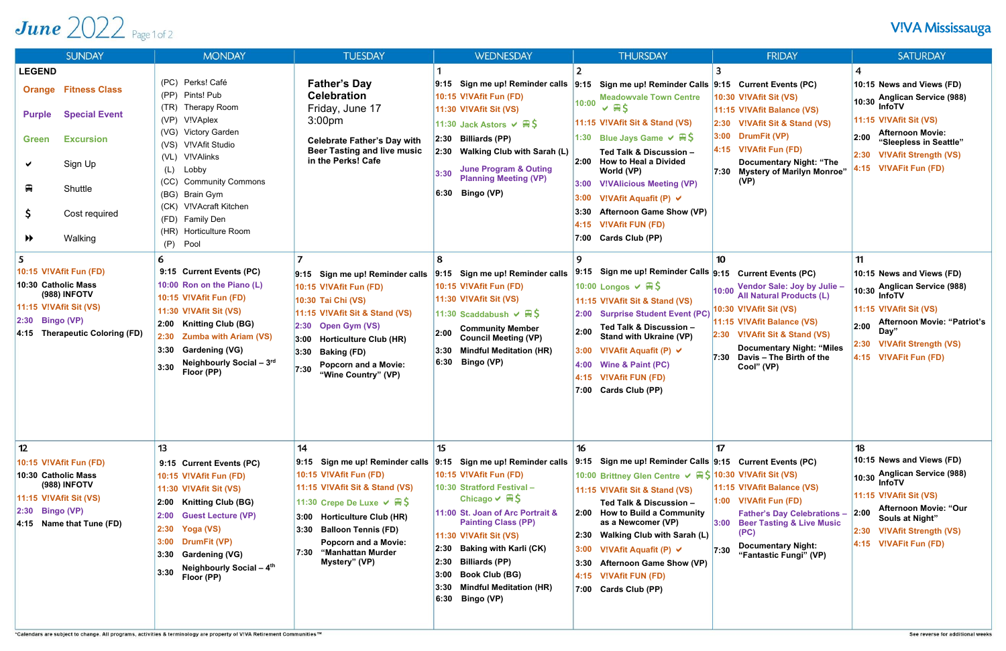## June  $2022$  Page 1 of 2

| <b>SUNDAY</b>                                                                                                                                                                                                                                                                                                                                                                              | <b>MONDAY</b>                                                                                                                                                                                                                                                                                                                                                                                                                                                                                                                                                                                               | <b>TUESDAY</b>                                                                                                                                                                                                                                                                                                                                                                                                                                            | <b>WEDNESDAY</b>                                                                                                                                                                                                                                                                                                                                                                                                                                                                                                                                                                                                                   | <b>THURSDAY</b>                                                                                                                                                                                                                                                                                                                                                                                                                                                                                                                                                                                                                                                                                                                                                                                             | <b>FRIDAY</b>                                                                                                                                                                                                                                                                                                                                                                                                                                                                      | <b>SATURDAY</b>                                                                                                                                                                                                                                                                                                                                                                                                                                                         |
|--------------------------------------------------------------------------------------------------------------------------------------------------------------------------------------------------------------------------------------------------------------------------------------------------------------------------------------------------------------------------------------------|-------------------------------------------------------------------------------------------------------------------------------------------------------------------------------------------------------------------------------------------------------------------------------------------------------------------------------------------------------------------------------------------------------------------------------------------------------------------------------------------------------------------------------------------------------------------------------------------------------------|-----------------------------------------------------------------------------------------------------------------------------------------------------------------------------------------------------------------------------------------------------------------------------------------------------------------------------------------------------------------------------------------------------------------------------------------------------------|------------------------------------------------------------------------------------------------------------------------------------------------------------------------------------------------------------------------------------------------------------------------------------------------------------------------------------------------------------------------------------------------------------------------------------------------------------------------------------------------------------------------------------------------------------------------------------------------------------------------------------|-------------------------------------------------------------------------------------------------------------------------------------------------------------------------------------------------------------------------------------------------------------------------------------------------------------------------------------------------------------------------------------------------------------------------------------------------------------------------------------------------------------------------------------------------------------------------------------------------------------------------------------------------------------------------------------------------------------------------------------------------------------------------------------------------------------|------------------------------------------------------------------------------------------------------------------------------------------------------------------------------------------------------------------------------------------------------------------------------------------------------------------------------------------------------------------------------------------------------------------------------------------------------------------------------------|-------------------------------------------------------------------------------------------------------------------------------------------------------------------------------------------------------------------------------------------------------------------------------------------------------------------------------------------------------------------------------------------------------------------------------------------------------------------------|
| <b>LEGEND</b><br><b>Orange Fitness Class</b><br><b>Special Event</b><br><b>Purple</b><br><b>Excursion</b><br><b>Green</b><br>Sign Up<br>✔<br>₽<br>Shuttle<br>Ş.<br>Cost required<br>Walking<br>$\blacktriangleright$<br>5<br>10:15 V!VAfit Fun (FD)<br>10:30 Catholic Mass<br><b>(988) INFOTV</b><br><b>11:15 V!VAfit Sit (VS)</b><br>$ 2:30$ Bingo (VP)<br>4:15 Therapeutic Coloring (FD) | (PC) Perks! Café<br>Pints! Pub<br>(PP)<br>(TR)<br>Therapy Room<br>V!VAplex<br>(VP)<br>(VG) Victory Garden<br><b>V!VAfit Studio</b><br>(VS)<br>V!VAlinks<br>(VL)<br>Lobby<br>(L)<br>(CC)<br><b>Community Commons</b><br>(BG) Brain Gym<br>(CK) V!VAcraft Kitchen<br>(FD) Family Den<br>(HR) Horticulture Room<br>(P)<br>Pool<br>6<br>9:15 Current Events (PC)<br>10:00 Ron on the Piano (L)<br>10:15 V!VAfit Fun (FD)<br><b>11:30 V!VAfit Sit (VS)</b><br>2:00 Knitting Club (BG)<br><b>Zumba with Ariam (VS)</b><br>2:30<br><b>Gardening (VG)</b><br>3:30<br>Neighbourly Social - 3rd<br>3:30<br>Floor (PP) | <b>Father's Day</b><br><b>Celebration</b><br>Friday, June 17<br>3:00 <sub>pm</sub><br><b>Celebrate Father's Day with</b><br><b>Beer Tasting and live music</b><br>in the Perks! Cafe<br>9:15 Sign me up! Reminder calls<br>10:15 V!VAfit Fun (FD)<br>10:30 Tai Chi (VS)<br>11:15 V!VAfit Sit & Stand (VS)<br>$ 2:30$ Open Gym (VS)<br>$ 3:00$ Horticulture Club (HR)<br>$ 3:30$ Baking (FD)<br><b>Popcorn and a Movie:</b><br>7:30<br>"Wine Country" (VP) | 9:15 Sign me up! Reminder calls  9:15 Sign me up! Reminder Calls  9:15 Current Events (PC)<br>10:15 V!VAfit Fun (FD)<br>11:30 V!VAfit Sit (VS)<br>11:30 Jack Astors $\vee \mathbb{R} \setminus$<br>$ 2:30$ Billiards (PP)<br>2:30 Walking Club with Sarah (L)<br><b>June Program &amp; Outing</b><br>3:30<br><b>Planning Meeting (VP)</b><br>$6:30$ Bingo (VP)<br>8<br>9:15 Sign me up! Reminder calls<br>10:15 V!VAfit Fun (FD)<br>11:30 V!VAfit Sit (VS)<br>11:30 Scaddabush $\vee \mathbb{R}$ \$<br><b>Community Member</b><br>2:00<br><b>Council Meeting (VP)</b><br><b>Mindful Meditation (HR)</b><br>3:30<br>6:30 Bingo (VP) | <b>Meadowvale Town Centre</b><br>10:00<br>$\vee$ AS<br>11:15 V!VAfit Sit & Stand (VS)<br>1:30 Blue Jays Game $\vee \mathbb{R} \setminus$<br>Ted Talk & Discussion -<br>2:00 How to Heal a Divided<br>World (VP)<br><b>V!VAlicious Meeting (VP)</b><br>3:00<br>3:00<br>V!VAfit Aquafit (P) $\vee$<br><b>Afternoon Game Show (VP)</b><br><b>V!VAfit FUN (FD)</b><br>4:15<br>Cards Club (PP)<br>7:00<br>9<br>Sign me up! Reminder Calls 9:15 Current Events (PC)<br>9:15<br>10:00 Longos $\vee \mathbb{R}$ \$<br>11:15 V!VAfit Sit & Stand (VS)<br><b>Surprise Student Event (PC)</b><br>2:00<br>Ted Talk & Discussion -<br>2:00<br><b>Stand with Ukraine (VP)</b><br>3:00<br>V!VAfit Aquafit (P) $\vee$<br><b>Wine &amp; Paint (PC)</b><br>4:00<br><b>V!VAfit FUN (FD)</b><br>4:15<br>7:00<br>Cards Club (PP) | 10:30 V!VAfit Sit (VS)<br>11:15 V!VAfit Balance (VS)<br>2:30 V!VAfit Sit & Stand (VS)<br>$ 3:00$ DrumFit (VP)<br>4:15 V!VAfit Fun (FD)<br><b>Documentary Night: "The</b><br>7:30 Mystery of Marilyn Monroe"<br>(VP)<br>10<br>Vendor Sale: Joy by Julie -<br>10:00<br><b>All Natural Products (L)</b><br>10:30 V!VAfit Sit (VS)<br>11:15 V!VAfit Balance (VS)<br>2:30 V!VAfit Sit & Stand (VS)<br><b>Documentary Night: "Miles</b><br>$7:30$ Davis - The Birth of the<br>Cool" (VP) | 10:15 News and Views (FD)<br><b>Anglican Service (988)</b><br>$10:30^{\circ}$<br><b>InfoTV</b><br>11:15 V!VAfit Sit (VS)<br><b>Afternoon Movie:</b><br>2:00<br>"Sleepless in Seattle"<br>2:30 V!VAfit Strength (VS)<br>4:15 V!VAFit Fun (FD)<br>11<br>10:15 News and Views (FD)<br>10:30 Anglican Service (988)<br><b>InfoTV</b><br>11:15 V!VAfit Sit (VS)<br><b>Afternoon Movie: "Patriot's</b><br>2:00<br>Day′<br>2:30 V!VAfit Strength (VS)<br>4:15 V!VAFit Fun (FD) |
| 12<br>10:15 V!VAfit Fun (FD)<br>10:30 Catholic Mass<br><b>(988) INFOTV</b><br>$ 11:15$ V!VAfit Sit (VS)<br>$ 2:30$ Bingo (VP)<br>$ 4:15$ Name that Tune (FD)                                                                                                                                                                                                                               | 13<br>9:15 Current Events (PC)<br>10:15 V!VAfit Fun (FD)<br>11:30 V!VAfit Sit (VS)<br>2:00 Knitting Club (BG)<br>2:00 Guest Lecture (VP)<br>2:30 Yoga (VS)<br><b>DrumFit (VP)</b><br>3:00<br>3:30 Gardening (VG)<br>Neighbourly Social - 4 <sup>th</sup><br>3:30<br>Floor (PP)                                                                                                                                                                                                                                                                                                                              | 14<br>10:15 V!VAfit Fun (FD)<br>11:15 V!VAfit Sit & Stand (VS)<br>11:30 Crepe De Luxe $\vee \mathbb{R}$ \$<br>3:00 Horticulture Club (HR)<br><b>Balloon Tennis (FD)</b><br>3:30<br><b>Popcorn and a Movie:</b><br>"Manhattan Murder<br>7:30<br>Mystery" (VP)                                                                                                                                                                                              | 15<br>9:15 Sign me up! Reminder calls 9:15 Sign me up! Reminder calls 9:15<br>10:15 V!VAfit Fun (FD)<br>10:30 Stratford Festival-<br>Chicago $\vee \#$ \$<br>11:00 St. Joan of Arc Portrait &<br><b>Painting Class (PP)</b><br><b>11:30 V!VAfit Sit (VS)</b><br>$ 2:30$ Baking with Karli (CK)<br>$ 2:30$ Billiards (PP)<br><b>Book Club (BG)</b><br>3:00<br><b>Mindful Meditation (HR)</b><br>3:30<br>6:30 Bingo (VP)                                                                                                                                                                                                             | 16<br>Sign me up! Reminder Calls 9:15 Current Events (PC)<br>10:00 Brittney Glen Centre √ A \$ 10:30 V!VAfit Sit (VS)<br>11:15 V!VAfit Sit & Stand (VS)<br>Ted Talk & Discussion -<br>2:00 How to Build a Community<br>as a Newcomer (VP)<br><b>Walking Club with Sarah (L)</b><br>2:30<br>3:00<br>V!VAfit Aquafit (P) $\vee$<br><b>Afternoon Game Show (VP)</b><br>3:30<br>4:15 V!VAfit FUN (FD)<br>7:00 Cards Club (PP)                                                                                                                                                                                                                                                                                                                                                                                   | 17<br>11:15 V!VAfit Balance (VS)<br>$1:00$ V!VAfit Fun (FD)<br><b>Father's Day Celebrations</b><br>3:00 Beer Tasting & Live Music<br>(PC)<br><b>Documentary Night:</b><br>7:30<br>"Fantastic Fungi" (VP)                                                                                                                                                                                                                                                                           | 18<br>10:15 News and Views (FD)<br><b>Anglican Service (988)</b><br>10:30<br><b>InfoTV</b><br><b>11:15 V!VAfit Sit (VS)</b><br><b>Afternoon Movie: "Our</b><br> 2:00<br>Souls at Night"<br>2:30 V!VAfit Strength (VS)<br>4:15 V!VAFit Fun (FD)                                                                                                                                                                                                                          |

\*Calendars are subject to change. All programs, activities & terminology are property of V!VA Retirement Co

## **V!VA Mississauga**